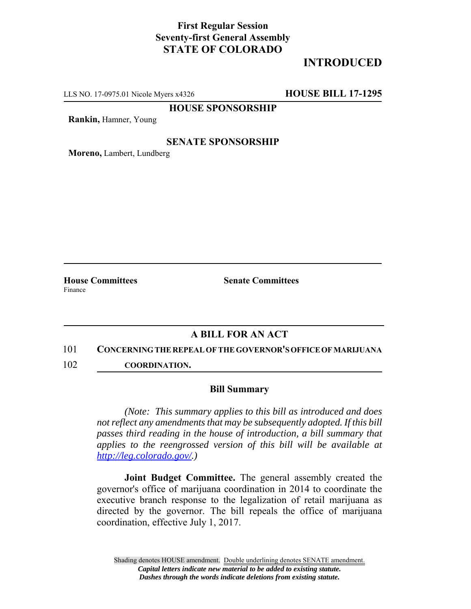## **First Regular Session Seventy-first General Assembly STATE OF COLORADO**

# **INTRODUCED**

LLS NO. 17-0975.01 Nicole Myers x4326 **HOUSE BILL 17-1295**

**HOUSE SPONSORSHIP**

**Rankin,** Hamner, Young

### **SENATE SPONSORSHIP**

**Moreno,** Lambert, Lundberg

Finance

**House Committees Senate Committees** 

### **A BILL FOR AN ACT**

#### 101 **CONCERNING THE REPEAL OF THE GOVERNOR'S OFFICE OF MARIJUANA**

102 **COORDINATION.**

### **Bill Summary**

*(Note: This summary applies to this bill as introduced and does not reflect any amendments that may be subsequently adopted. If this bill passes third reading in the house of introduction, a bill summary that applies to the reengrossed version of this bill will be available at http://leg.colorado.gov/.)*

**Joint Budget Committee.** The general assembly created the governor's office of marijuana coordination in 2014 to coordinate the executive branch response to the legalization of retail marijuana as directed by the governor. The bill repeals the office of marijuana coordination, effective July 1, 2017.